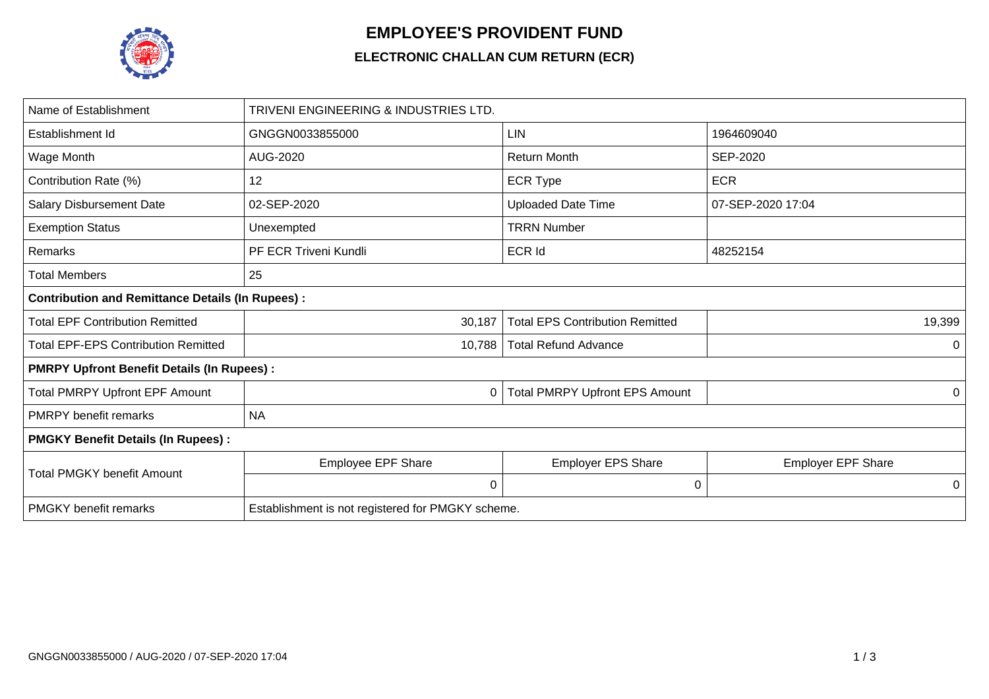

## **EMPLOYEE'S PROVIDENT FUND**

## **ELECTRONIC CHALLAN CUM RETURN (ECR)**

| Name of Establishment                                   | TRIVENI ENGINEERING & INDUSTRIES LTD.             |                                        |                           |  |  |  |  |  |  |  |  |
|---------------------------------------------------------|---------------------------------------------------|----------------------------------------|---------------------------|--|--|--|--|--|--|--|--|
| Establishment Id                                        | GNGGN0033855000                                   | <b>LIN</b>                             | 1964609040                |  |  |  |  |  |  |  |  |
| Wage Month                                              | AUG-2020                                          | <b>Return Month</b>                    | SEP-2020                  |  |  |  |  |  |  |  |  |
| Contribution Rate (%)                                   | 12                                                | <b>ECR Type</b>                        | <b>ECR</b>                |  |  |  |  |  |  |  |  |
| <b>Salary Disbursement Date</b>                         | 02-SEP-2020                                       | <b>Uploaded Date Time</b>              | 07-SEP-2020 17:04         |  |  |  |  |  |  |  |  |
| <b>Exemption Status</b>                                 | Unexempted                                        | <b>TRRN Number</b>                     |                           |  |  |  |  |  |  |  |  |
| Remarks                                                 | PF ECR Triveni Kundli                             | <b>ECR Id</b>                          | 48252154                  |  |  |  |  |  |  |  |  |
| <b>Total Members</b>                                    | 25                                                |                                        |                           |  |  |  |  |  |  |  |  |
| <b>Contribution and Remittance Details (In Rupees):</b> |                                                   |                                        |                           |  |  |  |  |  |  |  |  |
| <b>Total EPF Contribution Remitted</b>                  | 30,187                                            | <b>Total EPS Contribution Remitted</b> | 19,399                    |  |  |  |  |  |  |  |  |
| <b>Total EPF-EPS Contribution Remitted</b>              | 10,788                                            | <b>Total Refund Advance</b>            | 0                         |  |  |  |  |  |  |  |  |
| <b>PMRPY Upfront Benefit Details (In Rupees):</b>       |                                                   |                                        |                           |  |  |  |  |  |  |  |  |
| <b>Total PMRPY Upfront EPF Amount</b>                   | 0                                                 | <b>Total PMRPY Upfront EPS Amount</b>  | 0                         |  |  |  |  |  |  |  |  |
| <b>PMRPY</b> benefit remarks                            | <b>NA</b>                                         |                                        |                           |  |  |  |  |  |  |  |  |
| <b>PMGKY Benefit Details (In Rupees):</b>               |                                                   |                                        |                           |  |  |  |  |  |  |  |  |
| <b>Total PMGKY benefit Amount</b>                       | <b>Employee EPF Share</b>                         | Employer EPS Share                     | <b>Employer EPF Share</b> |  |  |  |  |  |  |  |  |
|                                                         | $\boldsymbol{0}$                                  | 0                                      | 0                         |  |  |  |  |  |  |  |  |
| <b>PMGKY</b> benefit remarks                            | Establishment is not registered for PMGKY scheme. |                                        |                           |  |  |  |  |  |  |  |  |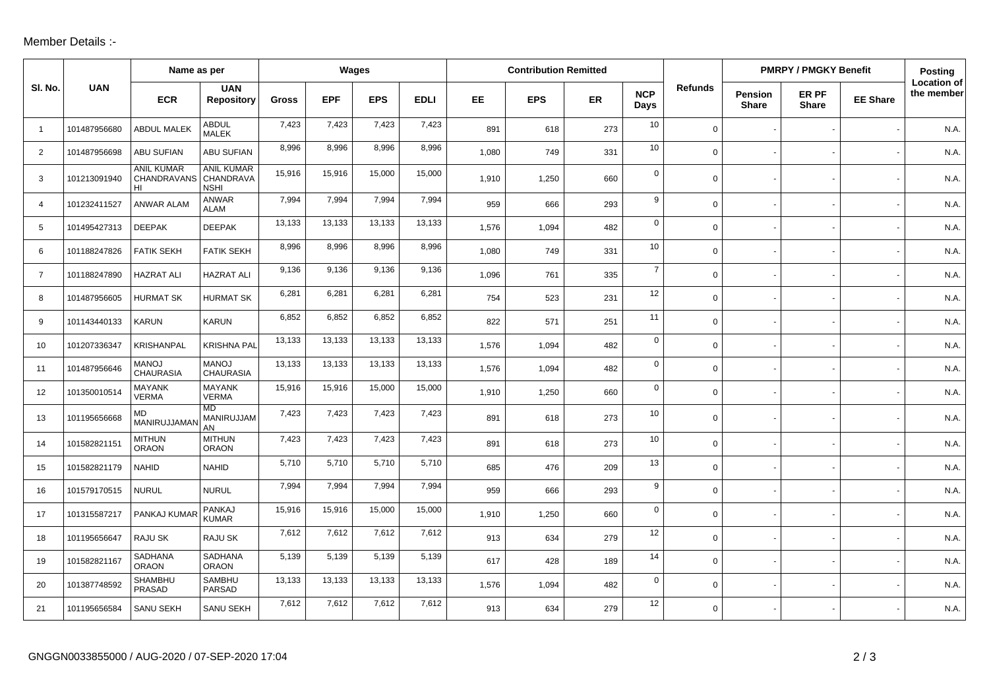## Member Details :-

|                |              | Name as per                                      |                                  | Wages  |            |            |             | <b>Contribution Remitted</b> |            |           |                    |                | <b>PMRPY / PMGKY Benefit</b>   | Posting               |                 |                                  |
|----------------|--------------|--------------------------------------------------|----------------------------------|--------|------------|------------|-------------|------------------------------|------------|-----------|--------------------|----------------|--------------------------------|-----------------------|-----------------|----------------------------------|
| SI. No.        | <b>UAN</b>   | <b>ECR</b>                                       | <b>UAN</b><br><b>Repository</b>  | Gross  | <b>EPF</b> | <b>EPS</b> | <b>EDLI</b> | EE.                          | <b>EPS</b> | <b>ER</b> | <b>NCP</b><br>Days | <b>Refunds</b> | <b>Pension</b><br><b>Share</b> | ER PF<br><b>Share</b> | <b>EE Share</b> | <b>Location of</b><br>the member |
| $\overline{1}$ | 101487956680 | <b>ABDUL MALEK</b>                               | <b>ABDUL</b><br><b>MALEK</b>     | 7,423  | 7,423      | 7,423      | 7,423       | 891                          | 618        | 273       | 10                 | $\mathbf 0$    |                                |                       |                 | N.A.                             |
| 2              | 101487956698 | <b>ABU SUFIAN</b>                                | ABU SUFIAN                       | 8,996  | 8,996      | 8,996      | 8,996       | 1,080                        | 749        | 331       | 10                 | $\mathsf{O}$   |                                |                       |                 | N.A.                             |
| 3              | 101213091940 | <b>ANIL KUMAR</b><br>CHANDRAVANS CHANDRAVA<br>HI | <b>ANIL KUMAR</b><br><b>NSHI</b> | 15,916 | 15,916     | 15,000     | 15,000      | 1,910                        | 1,250      | 660       | 0                  | $\mathbf 0$    |                                |                       |                 | N.A.                             |
| $\overline{4}$ | 101232411527 | <b>ANWAR ALAM</b>                                | ANWAR<br><b>ALAM</b>             | 7,994  | 7,994      | 7,994      | 7,994       | 959                          | 666        | 293       | 9                  | $\mathsf{O}$   |                                |                       |                 | N.A.                             |
| 5              | 101495427313 | <b>DEEPAK</b>                                    | <b>DEEPAK</b>                    | 13,133 | 13,133     | 13,133     | 13,133      | 1,576                        | 1,094      | 482       | $\mathbf 0$        | $\mathbf 0$    |                                |                       |                 | N.A.                             |
| 6              | 101188247826 | <b>FATIK SEKH</b>                                | <b>FATIK SEKH</b>                | 8,996  | 8,996      | 8,996      | 8,996       | 1,080                        | 749        | 331       | 10                 | $\mathbf 0$    |                                |                       |                 | N.A.                             |
| $\overline{7}$ | 101188247890 | <b>HAZRAT ALI</b>                                | <b>HAZRAT ALI</b>                | 9,136  | 9,136      | 9,136      | 9,136       | 1,096                        | 761        | 335       | $\overline{7}$     | $\mathbf 0$    |                                |                       |                 | N.A.                             |
| 8              | 101487956605 | <b>HURMAT SK</b>                                 | <b>HURMAT SK</b>                 | 6,281  | 6,281      | 6,281      | 6,281       | 754                          | 523        | 231       | 12                 | $\mathbf 0$    |                                |                       |                 | N.A.                             |
| 9              | 101143440133 | <b>KARUN</b>                                     | <b>KARUN</b>                     | 6,852  | 6,852      | 6,852      | 6,852       | 822                          | 571        | 251       | 11                 | $\mathbf 0$    |                                |                       |                 | N.A.                             |
| 10             | 101207336347 | <b>KRISHANPAL</b>                                | <b>KRISHNA PAL</b>               | 13,133 | 13,133     | 13,133     | 13,133      | 1,576                        | 1,094      | 482       | $\mathbf 0$        | $\mathbf 0$    |                                |                       |                 | N.A.                             |
| 11             | 101487956646 | <b>MANOJ</b><br><b>CHAURASIA</b>                 | <b>MANOJ</b><br><b>CHAURASIA</b> | 13,133 | 13,133     | 13,133     | 13,133      | 1,576                        | 1,094      | 482       | $\mathbf 0$        | $\mathbf 0$    |                                |                       |                 | N.A.                             |
| 12             | 101350010514 | <b>MAYANK</b><br><b>VERMA</b>                    | <b>MAYANK</b><br><b>VERMA</b>    | 15,916 | 15,916     | 15,000     | 15,000      | 1,910                        | 1,250      | 660       | $\mathbf 0$        | $\mathbf 0$    |                                |                       |                 | N.A.                             |
| 13             | 101195656668 | MD<br>MANIRUJJAMAI                               | <b>MD</b><br>MANIRUJJAM<br>AN    | 7,423  | 7,423      | 7,423      | 7,423       | 891                          | 618        | 273       | 10                 | $\mathbf 0$    |                                |                       |                 | N.A.                             |
| 14             | 101582821151 | <b>MITHUN</b><br><b>ORAON</b>                    | <b>MITHUN</b><br><b>ORAON</b>    | 7,423  | 7,423      | 7,423      | 7,423       | 891                          | 618        | 273       | 10                 | $\mathbf 0$    |                                |                       |                 | N.A.                             |
| 15             | 101582821179 | <b>NAHID</b>                                     | <b>NAHID</b>                     | 5,710  | 5,710      | 5,710      | 5,710       | 685                          | 476        | 209       | 13                 | $\mathbf 0$    |                                |                       |                 | N.A.                             |
| 16             | 101579170515 | <b>NURUL</b>                                     | <b>NURUL</b>                     | 7,994  | 7,994      | 7,994      | 7,994       | 959                          | 666        | 293       | 9                  | $\mathsf{O}$   |                                |                       |                 | N.A.                             |
| 17             | 101315587217 | PANKAJ KUMAR                                     | PANKAJ<br><b>KUMAR</b>           | 15,916 | 15,916     | 15,000     | 15,000      | 1,910                        | 1,250      | 660       | $\mathbf 0$        | $\mathbf 0$    |                                |                       |                 | N.A.                             |
| 18             | 101195656647 | RAJU SK                                          | RAJU SK                          | 7,612  | 7,612      | 7,612      | 7,612       | 913                          | 634        | 279       | 12                 | $\mathbf 0$    |                                |                       |                 | N.A.                             |
| 19             | 101582821167 | SADHANA<br><b>ORAON</b>                          | SADHANA<br><b>ORAON</b>          | 5,139  | 5,139      | 5,139      | 5,139       | 617                          | 428        | 189       | 14                 | $\mathsf{O}$   |                                |                       |                 | N.A.                             |
| 20             | 101387748592 | SHAMBHU<br>PRASAD                                | SAMBHU<br>PARSAD                 | 13,133 | 13,133     | 13,133     | 13,133      | 1,576                        | 1,094      | 482       | $\mathbf 0$        | $\mathbf 0$    |                                |                       |                 | N.A.                             |
| 21             | 101195656584 | <b>SANU SEKH</b>                                 | <b>SANU SEKH</b>                 | 7,612  | 7,612      | 7,612      | 7,612       | 913                          | 634        | 279       | 12                 | $\mathbf 0$    |                                |                       |                 | N.A.                             |